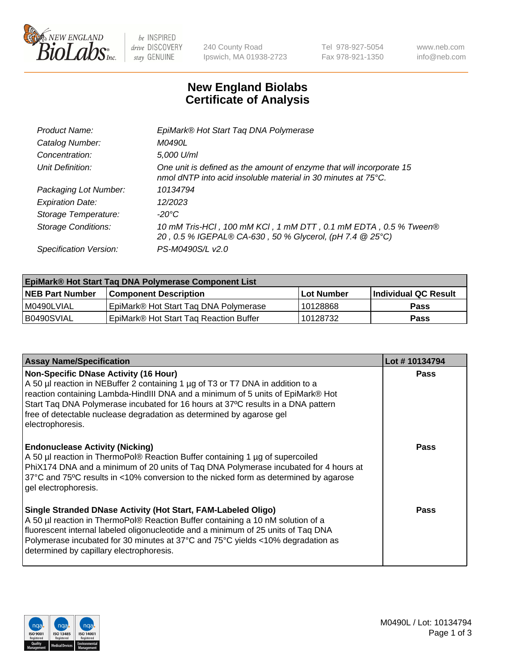

 $be$  INSPIRED drive DISCOVERY stay GENUINE

240 County Road Ipswich, MA 01938-2723 Tel 978-927-5054 Fax 978-921-1350 www.neb.com info@neb.com

## **New England Biolabs Certificate of Analysis**

| EpiMark® Hot Start Tag DNA Polymerase                                                                                                           |
|-------------------------------------------------------------------------------------------------------------------------------------------------|
| M0490L                                                                                                                                          |
| 5,000 U/ml                                                                                                                                      |
| One unit is defined as the amount of enzyme that will incorporate 15<br>nmol dNTP into acid insoluble material in 30 minutes at $75^{\circ}$ C. |
| 10134794                                                                                                                                        |
| 12/2023                                                                                                                                         |
| $-20^{\circ}$ C                                                                                                                                 |
| 10 mM Tris-HCl, 100 mM KCl, 1 mM DTT, 0.1 mM EDTA, 0.5 % Tween®<br>20, 0.5 % IGEPAL® CA-630, 50 % Glycerol, (pH 7.4 @ 25°C)                     |
| PS-M0490S/L v2.0                                                                                                                                |
|                                                                                                                                                 |

| EpiMark® Hot Start Taq DNA Polymerase Component List |                                                    |            |                             |  |  |
|------------------------------------------------------|----------------------------------------------------|------------|-----------------------------|--|--|
| <b>NEB Part Number</b>                               | <b>Component Description</b>                       | Lot Number | <b>Individual QC Result</b> |  |  |
| M0490LVIAL                                           | EpiMark® Hot Start Tag DNA Polymerase              | 10128868   | <b>Pass</b>                 |  |  |
| B0490SVIAL                                           | EpiMark <sup>®</sup> Hot Start Tag Reaction Buffer | 10128732   | <b>Pass</b>                 |  |  |

| <b>Assay Name/Specification</b>                                                                                                                                                                                                                                                                                                                                                             | Lot #10134794 |
|---------------------------------------------------------------------------------------------------------------------------------------------------------------------------------------------------------------------------------------------------------------------------------------------------------------------------------------------------------------------------------------------|---------------|
| Non-Specific DNase Activity (16 Hour)<br>A 50 µl reaction in NEBuffer 2 containing 1 µg of T3 or T7 DNA in addition to a<br>reaction containing Lambda-HindIII DNA and a minimum of 5 units of EpiMark® Hot<br>Start Tag DNA Polymerase incubated for 16 hours at 37°C results in a DNA pattern<br>free of detectable nuclease degradation as determined by agarose gel<br>electrophoresis. | Pass          |
| <b>Endonuclease Activity (Nicking)</b><br>A 50 µl reaction in ThermoPol® Reaction Buffer containing 1 µg of supercoiled<br>PhiX174 DNA and a minimum of 20 units of Taq DNA Polymerase incubated for 4 hours at<br>37°C and 75°C results in <10% conversion to the nicked form as determined by agarose<br>gel electrophoresis.                                                             | Pass          |
| Single Stranded DNase Activity (Hot Start, FAM-Labeled Oligo)<br>A 50 µl reaction in ThermoPol® Reaction Buffer containing a 10 nM solution of a<br>fluorescent internal labeled oligonucleotide and a minimum of 25 units of Taq DNA<br>Polymerase incubated for 30 minutes at 37°C and 75°C yields <10% degradation as<br>determined by capillary electrophoresis.                        | Pass          |

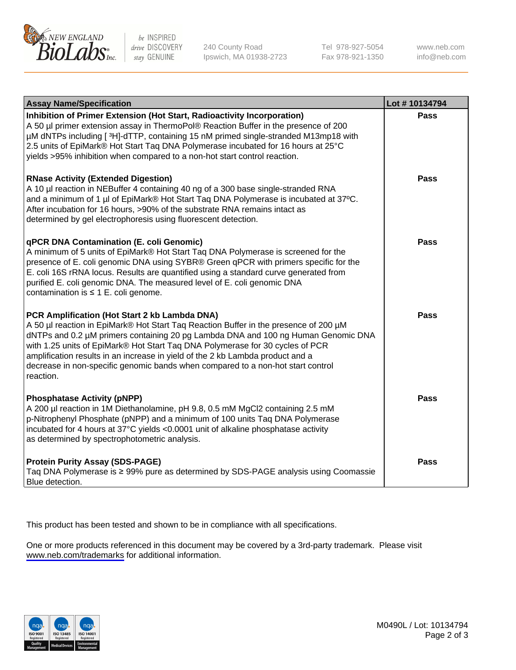

be INSPIRED drive DISCOVERY stay GENUINE

240 County Road Ipswich, MA 01938-2723 Tel 978-927-5054 Fax 978-921-1350

www.neb.com info@neb.com

| <b>Assay Name/Specification</b>                                                                                                                                                                                                                                                                                                                                                                                                                                                               | Lot #10134794 |
|-----------------------------------------------------------------------------------------------------------------------------------------------------------------------------------------------------------------------------------------------------------------------------------------------------------------------------------------------------------------------------------------------------------------------------------------------------------------------------------------------|---------------|
| Inhibition of Primer Extension (Hot Start, Radioactivity Incorporation)<br>A 50 µl primer extension assay in ThermoPol® Reaction Buffer in the presence of 200<br>µM dNTPs including [3H]-dTTP, containing 15 nM primed single-stranded M13mp18 with<br>2.5 units of EpiMark® Hot Start Taq DNA Polymerase incubated for 16 hours at 25°C<br>yields >95% inhibition when compared to a non-hot start control reaction.                                                                        | Pass          |
| <b>RNase Activity (Extended Digestion)</b><br>A 10 µl reaction in NEBuffer 4 containing 40 ng of a 300 base single-stranded RNA<br>and a minimum of 1 µl of EpiMark® Hot Start Taq DNA Polymerase is incubated at 37°C.<br>After incubation for 16 hours, >90% of the substrate RNA remains intact as<br>determined by gel electrophoresis using fluorescent detection.                                                                                                                       | <b>Pass</b>   |
| qPCR DNA Contamination (E. coli Genomic)<br>A minimum of 5 units of EpiMark® Hot Start Taq DNA Polymerase is screened for the<br>presence of E. coli genomic DNA using SYBR® Green qPCR with primers specific for the<br>E. coli 16S rRNA locus. Results are quantified using a standard curve generated from<br>purified E. coli genomic DNA. The measured level of E. coli genomic DNA<br>contamination is $\leq 1$ E. coli genome.                                                         | Pass          |
| PCR Amplification (Hot Start 2 kb Lambda DNA)<br>A 50 µl reaction in EpiMark® Hot Start Taq Reaction Buffer in the presence of 200 µM<br>dNTPs and 0.2 µM primers containing 20 pg Lambda DNA and 100 ng Human Genomic DNA<br>with 1.25 units of EpiMark® Hot Start Taq DNA Polymerase for 30 cycles of PCR<br>amplification results in an increase in yield of the 2 kb Lambda product and a<br>decrease in non-specific genomic bands when compared to a non-hot start control<br>reaction. | Pass          |
| <b>Phosphatase Activity (pNPP)</b><br>A 200 µl reaction in 1M Diethanolamine, pH 9.8, 0.5 mM MgCl2 containing 2.5 mM<br>p-Nitrophenyl Phosphate (pNPP) and a minimum of 100 units Taq DNA Polymerase<br>incubated for 4 hours at 37°C yields <0.0001 unit of alkaline phosphatase activity<br>as determined by spectrophotometric analysis.                                                                                                                                                   | <b>Pass</b>   |
| <b>Protein Purity Assay (SDS-PAGE)</b><br>Taq DNA Polymerase is ≥ 99% pure as determined by SDS-PAGE analysis using Coomassie<br>Blue detection.                                                                                                                                                                                                                                                                                                                                              | <b>Pass</b>   |

This product has been tested and shown to be in compliance with all specifications.

One or more products referenced in this document may be covered by a 3rd-party trademark. Please visit <www.neb.com/trademarks>for additional information.